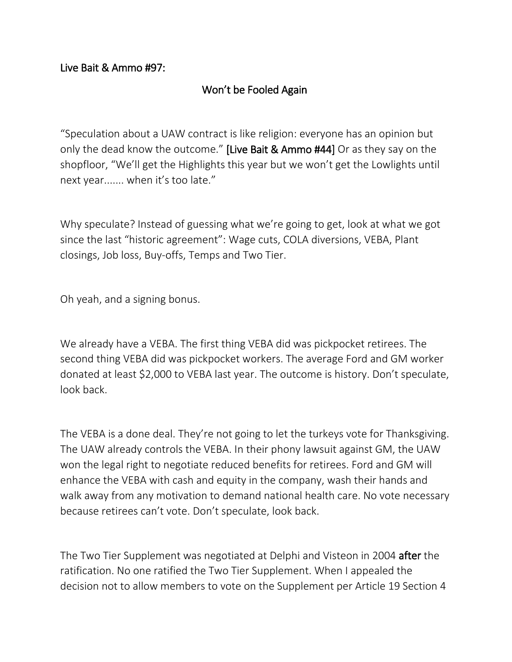## Live Bait & Ammo #97:

## Won't be Fooled Again

"Speculation about a UAW contract is like religion: everyone has an opinion but only the dead know the outcome." [Live Bait & Ammo #44] Or as they say on the shopfloor, "We'll get the Highlights this year but we won't get the Lowlights until next year....... when it's too late."

Why speculate? Instead of guessing what we're going to get, look at what we got since the last "historic agreement": Wage cuts, COLA diversions, VEBA, Plant closings, Job loss, Buy-offs, Temps and Two Tier.

Oh yeah, and a signing bonus.

We already have a VEBA. The first thing VEBA did was pickpocket retirees. The second thing VEBA did was pickpocket workers. The average Ford and GM worker donated at least \$2,000 to VEBA last year. The outcome is history. Don't speculate, look back.

The VEBA is a done deal. They're not going to let the turkeys vote for Thanksgiving. The UAW already controls the VEBA. In their phony lawsuit against GM, the UAW won the legal right to negotiate reduced benefits for retirees. Ford and GM will enhance the VEBA with cash and equity in the company, wash their hands and walk away from any motivation to demand national health care. No vote necessary because retirees can't vote. Don't speculate, look back.

The Two Tier Supplement was negotiated at Delphi and Visteon in 2004 after the ratification. No one ratified the Two Tier Supplement. When I appealed the decision not to allow members to vote on the Supplement per Article 19 Section 4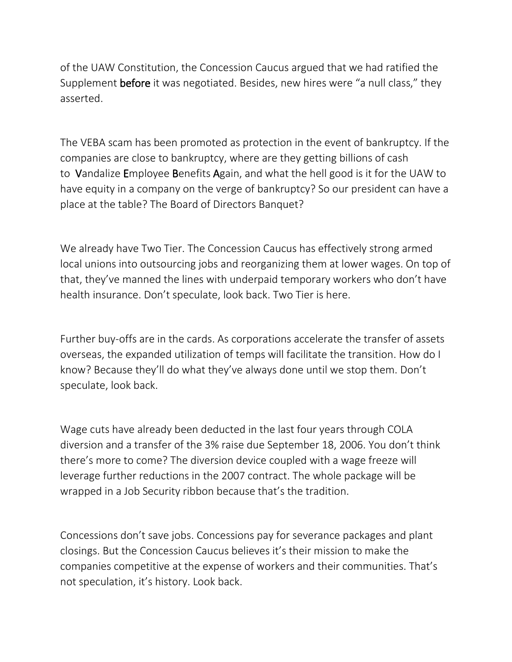of the UAW Constitution, the Concession Caucus argued that we had ratified the Supplement before it was negotiated. Besides, new hires were "a null class," they asserted.

The VEBA scam has been promoted as protection in the event of bankruptcy. If the companies are close to bankruptcy, where are they getting billions of cash to Vandalize Employee Benefits Again, and what the hell good is it for the UAW to have equity in a company on the verge of bankruptcy? So our president can have a place at the table? The Board of Directors Banquet?

We already have Two Tier. The Concession Caucus has effectively strong armed local unions into outsourcing jobs and reorganizing them at lower wages. On top of that, they've manned the lines with underpaid temporary workers who don't have health insurance. Don't speculate, look back. Two Tier is here.

Further buy-offs are in the cards. As corporations accelerate the transfer of assets overseas, the expanded utilization of temps will facilitate the transition. How do I know? Because they'll do what they've always done until we stop them. Don't speculate, look back.

Wage cuts have already been deducted in the last four years through COLA diversion and a transfer of the 3% raise due September 18, 2006. You don't think there's more to come? The diversion device coupled with a wage freeze will leverage further reductions in the 2007 contract. The whole package will be wrapped in a Job Security ribbon because that's the tradition.

Concessions don't save jobs. Concessions pay for severance packages and plant closings. But the Concession Caucus believes it's their mission to make the companies competitive at the expense of workers and their communities. That's not speculation, it's history. Look back.